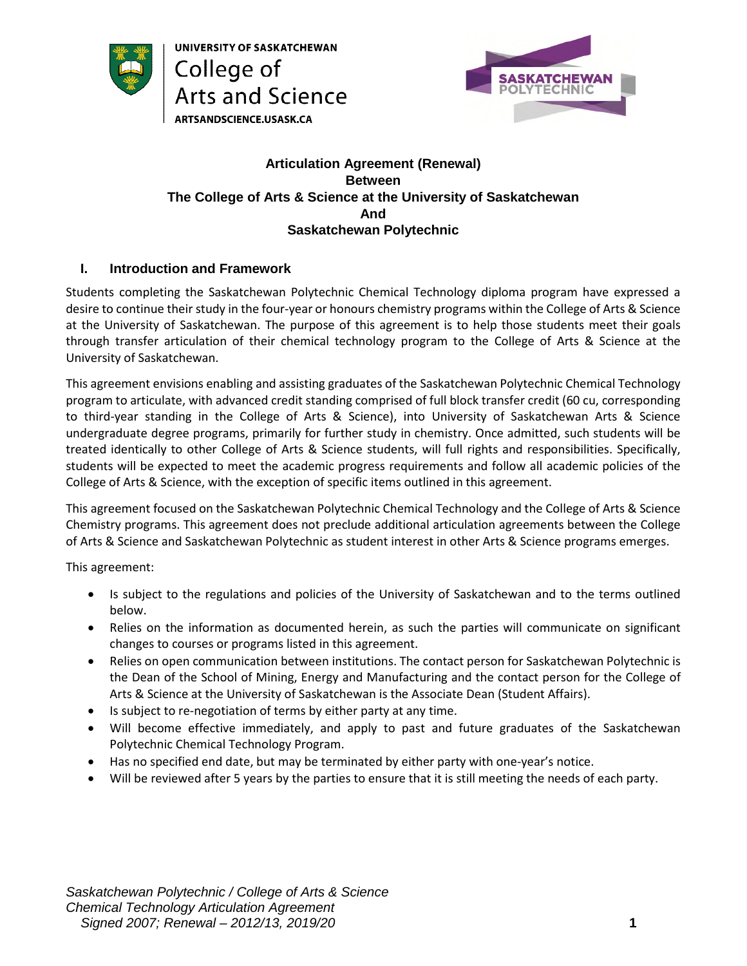

UNIVERSITY OF SASKATCHEWAN College of Arts and Science ARTSANDSCIENCE.USASK.CA



### **Articulation Agreement (Renewal) Between The College of Arts & Science at the University of Saskatchewan And Saskatchewan Polytechnic**

## **I. Introduction and Framework**

Students completing the Saskatchewan Polytechnic Chemical Technology diploma program have expressed a desire to continue their study in the four-year or honours chemistry programs within the College of Arts & Science at the University of Saskatchewan. The purpose of this agreement is to help those students meet their goals through transfer articulation of their chemical technology program to the College of Arts & Science at the University of Saskatchewan.

This agreement envisions enabling and assisting graduates of the Saskatchewan Polytechnic Chemical Technology program to articulate, with advanced credit standing comprised of full block transfer credit (60 cu, corresponding to third-year standing in the College of Arts & Science), into University of Saskatchewan Arts & Science undergraduate degree programs, primarily for further study in chemistry. Once admitted, such students will be treated identically to other College of Arts & Science students, will full rights and responsibilities. Specifically, students will be expected to meet the academic progress requirements and follow all academic policies of the College of Arts & Science, with the exception of specific items outlined in this agreement.

This agreement focused on the Saskatchewan Polytechnic Chemical Technology and the College of Arts & Science Chemistry programs. This agreement does not preclude additional articulation agreements between the College of Arts & Science and Saskatchewan Polytechnic as student interest in other Arts & Science programs emerges.

This agreement:

- Is subject to the regulations and policies of the University of Saskatchewan and to the terms outlined below.
- Relies on the information as documented herein, as such the parties will communicate on significant changes to courses or programs listed in this agreement.
- Relies on open communication between institutions. The contact person for Saskatchewan Polytechnic is the Dean of the School of Mining, Energy and Manufacturing and the contact person for the College of Arts & Science at the University of Saskatchewan is the Associate Dean (Student Affairs).
- Is subject to re-negotiation of terms by either party at any time.
- Will become effective immediately, and apply to past and future graduates of the Saskatchewan Polytechnic Chemical Technology Program.
- Has no specified end date, but may be terminated by either party with one-year's notice.
- Will be reviewed after 5 years by the parties to ensure that it is still meeting the needs of each party.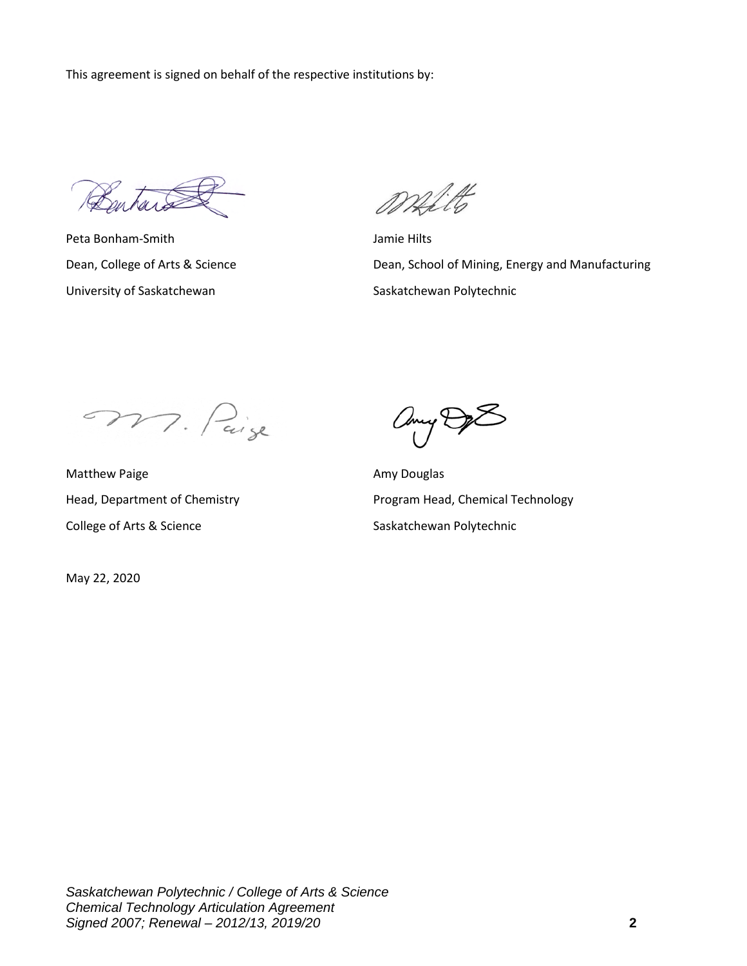This agreement is signed on behalf of the respective institutions by:

Bentard

Peta Bonham-Smith Jamie Hilts University of Saskatchewan Saskatchewan Saskatchewan Polytechnic

Mitt

Dean, College of Arts & Science **Dean, School of Mining, Energy and Manufacturing** 

M. Paige

Matthew Paige **Amy Douglas** Amy Douglas College of Arts & Science Saskatchewan Polytechnic

May 22, 2020

any De

Head, Department of Chemistry **Program Head, Chemical Technology**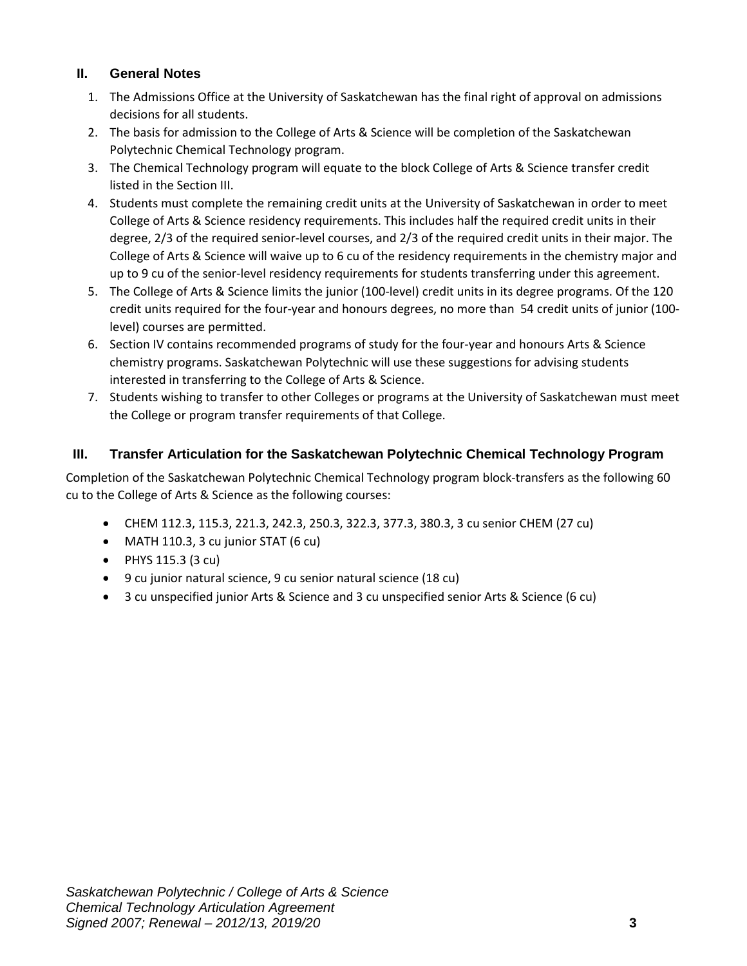### **II. General Notes**

- 1. The Admissions Office at the University of Saskatchewan has the final right of approval on admissions decisions for all students.
- 2. The basis for admission to the College of Arts & Science will be completion of the Saskatchewan Polytechnic Chemical Technology program.
- 3. The Chemical Technology program will equate to the block College of Arts & Science transfer credit listed in the Section III.
- 4. Students must complete the remaining credit units at the University of Saskatchewan in order to meet College of Arts & Science residency requirements. This includes half the required credit units in their degree, 2/3 of the required senior-level courses, and 2/3 of the required credit units in their major. The College of Arts & Science will waive up to 6 cu of the residency requirements in the chemistry major and up to 9 cu of the senior-level residency requirements for students transferring under this agreement.
- 5. The College of Arts & Science limits the junior (100-level) credit units in its degree programs. Of the 120 credit units required for the four-year and honours degrees, no more than 54 credit units of junior (100 level) courses are permitted.
- 6. Section IV contains recommended programs of study for the four-year and honours Arts & Science chemistry programs. Saskatchewan Polytechnic will use these suggestions for advising students interested in transferring to the College of Arts & Science.
- 7. Students wishing to transfer to other Colleges or programs at the University of Saskatchewan must meet the College or program transfer requirements of that College.

# **III. Transfer Articulation for the Saskatchewan Polytechnic Chemical Technology Program**

Completion of the Saskatchewan Polytechnic Chemical Technology program block-transfers as the following 60 cu to the College of Arts & Science as the following courses:

- CHEM 112.3, 115.3, 221.3, 242.3, 250.3, 322.3, 377.3, 380.3, 3 cu senior CHEM (27 cu)
- MATH 110.3, 3 cu junior STAT (6 cu)
- $\bullet$  PHYS 115.3 (3 cu)
- 9 cu junior natural science, 9 cu senior natural science (18 cu)
- 3 cu unspecified junior Arts & Science and 3 cu unspecified senior Arts & Science (6 cu)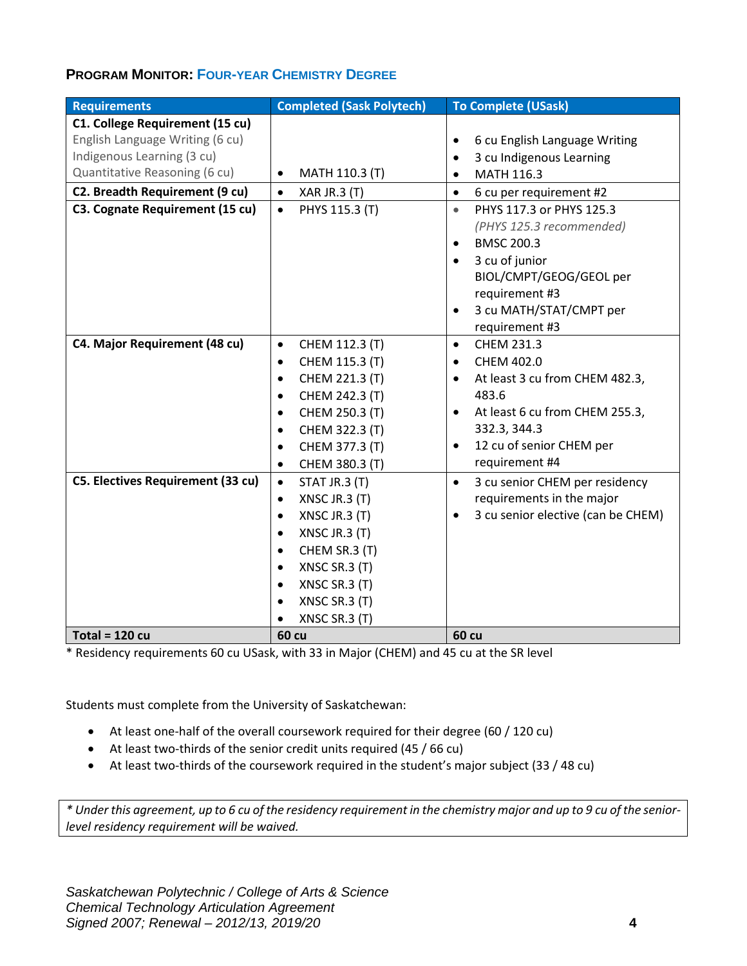# **PROGRAM MONITOR: FOUR-YEAR CHEMISTRY DEGREE**

| <b>Requirements</b>                      | <b>Completed (Sask Polytech)</b> | <b>To Complete (USask)</b>                      |  |
|------------------------------------------|----------------------------------|-------------------------------------------------|--|
| C1. College Requirement (15 cu)          |                                  |                                                 |  |
| English Language Writing (6 cu)          |                                  | 6 cu English Language Writing<br>٠              |  |
| Indigenous Learning (3 cu)               |                                  | 3 cu Indigenous Learning<br>$\bullet$           |  |
| Quantitative Reasoning (6 cu)            | MATH 110.3 (T)<br>$\bullet$      | MATH 116.3<br>$\bullet$                         |  |
| C2. Breadth Requirement (9 cu)           | <b>XAR JR.3 (T)</b><br>$\bullet$ | 6 cu per requirement #2<br>$\bullet$            |  |
| C3. Cognate Requirement (15 cu)          | PHYS 115.3 (T)<br>$\bullet$      | PHYS 117.3 or PHYS 125.3<br>$\bullet$           |  |
|                                          |                                  | (PHYS 125.3 recommended)                        |  |
|                                          |                                  | <b>BMSC 200.3</b><br>$\bullet$                  |  |
|                                          |                                  | 3 cu of junior<br>$\bullet$                     |  |
|                                          |                                  | BIOL/CMPT/GEOG/GEOL per                         |  |
|                                          |                                  | requirement #3                                  |  |
|                                          |                                  | 3 cu MATH/STAT/CMPT per<br>$\bullet$            |  |
|                                          |                                  | requirement #3                                  |  |
| C4. Major Requirement (48 cu)            | CHEM 112.3 (T)<br>$\bullet$      | CHEM 231.3<br>$\bullet$                         |  |
|                                          | CHEM 115.3 (T)<br>$\bullet$      | CHEM 402.0<br>$\bullet$                         |  |
|                                          | CHEM 221.3 (T)<br>$\bullet$      | At least 3 cu from CHEM 482.3,<br>$\bullet$     |  |
|                                          | CHEM 242.3 (T)<br>$\bullet$      | 483.6                                           |  |
|                                          | CHEM 250.3 (T)<br>$\bullet$      | At least 6 cu from CHEM 255.3,<br>$\bullet$     |  |
|                                          | CHEM 322.3 (T)<br>$\bullet$      | 332.3, 344.3                                    |  |
|                                          | CHEM 377.3 (T)<br>$\bullet$      | 12 cu of senior CHEM per<br>$\bullet$           |  |
|                                          | CHEM 380.3 (T)<br>$\bullet$      | requirement #4                                  |  |
| <b>C5. Electives Requirement (33 cu)</b> | STAT JR.3 (T)<br>$\bullet$       | 3 cu senior CHEM per residency<br>$\bullet$     |  |
|                                          | XNSC JR.3 (T)<br>$\bullet$       | requirements in the major                       |  |
|                                          | XNSC JR.3 (T)<br>$\bullet$       | 3 cu senior elective (can be CHEM)<br>$\bullet$ |  |
|                                          | XNSC JR.3 (T)<br>$\bullet$       |                                                 |  |
|                                          | CHEM SR.3 (T)<br>$\bullet$       |                                                 |  |
|                                          | XNSC SR.3 (T)<br>$\bullet$       |                                                 |  |
|                                          | XNSC SR.3 (T)<br>$\bullet$       |                                                 |  |
|                                          | XNSC SR.3 (T)<br>$\bullet$       |                                                 |  |
|                                          | XNSC SR.3 (T)<br>$\bullet$       |                                                 |  |
| Total = $120 cu$                         | <b>60 cu</b>                     | <b>60 cu</b>                                    |  |

\* Residency requirements 60 cu USask, with 33 in Major (CHEM) and 45 cu at the SR level

Students must complete from the University of Saskatchewan:

- At least one-half of the overall coursework required for their degree (60 / 120 cu)
- At least two-thirds of the senior credit units required (45 / 66 cu)
- At least two-thirds of the coursework required in the student's major subject (33 / 48 cu)

*\* Under this agreement, up to 6 cu of the residency requirement in the chemistry major and up to 9 cu of the seniorlevel residency requirement will be waived.*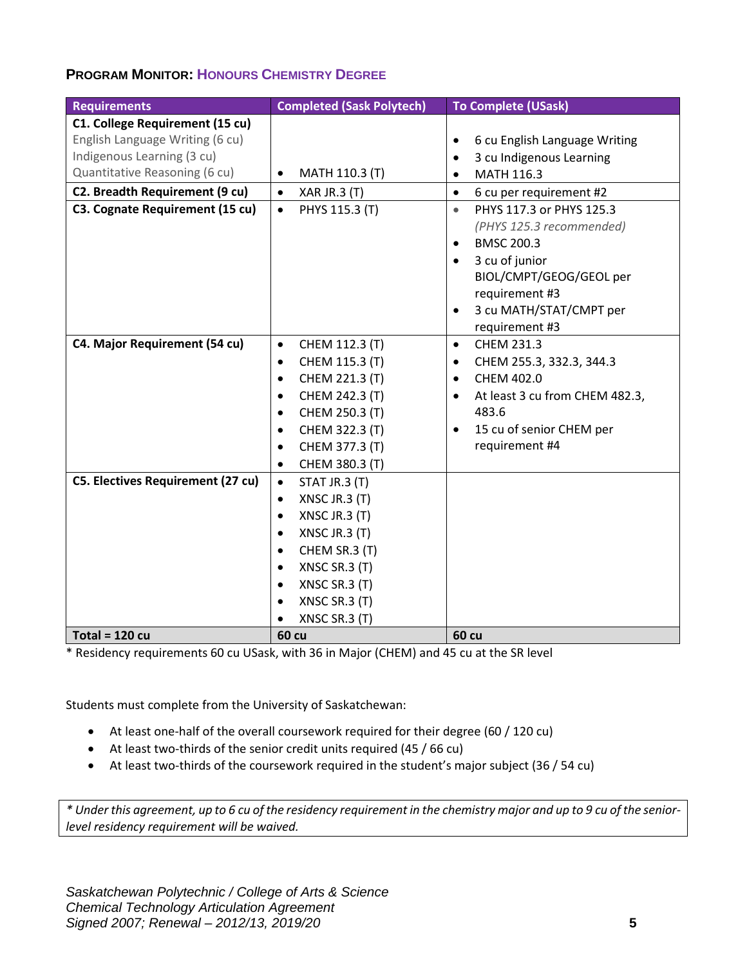# **PROGRAM MONITOR: HONOURS CHEMISTRY DEGREE**

| <b>Requirements</b>                      | <b>Completed (Sask Polytech)</b> | <b>To Complete (USask)</b>                  |
|------------------------------------------|----------------------------------|---------------------------------------------|
| C1. College Requirement (15 cu)          |                                  |                                             |
| English Language Writing (6 cu)          |                                  | 6 cu English Language Writing<br>٠          |
| Indigenous Learning (3 cu)               |                                  | 3 cu Indigenous Learning<br>$\bullet$       |
| Quantitative Reasoning (6 cu)            | MATH 110.3 (T)<br>$\bullet$      | MATH 116.3<br>$\bullet$                     |
| C2. Breadth Requirement (9 cu)           | <b>XAR JR.3 (T)</b><br>$\bullet$ | 6 cu per requirement #2<br>$\bullet$        |
| C3. Cognate Requirement (15 cu)          | PHYS 115.3 (T)<br>$\bullet$      | PHYS 117.3 or PHYS 125.3<br>$\bullet$       |
|                                          |                                  | (PHYS 125.3 recommended)                    |
|                                          |                                  | <b>BMSC 200.3</b><br>$\bullet$              |
|                                          |                                  | 3 cu of junior<br>$\bullet$                 |
|                                          |                                  | BIOL/CMPT/GEOG/GEOL per                     |
|                                          |                                  | requirement #3                              |
|                                          |                                  | 3 cu MATH/STAT/CMPT per<br>$\bullet$        |
|                                          |                                  | requirement #3                              |
| C4. Major Requirement (54 cu)            | CHEM 112.3 (T)<br>$\bullet$      | CHEM 231.3<br>$\bullet$                     |
|                                          | CHEM 115.3 (T)<br>$\bullet$      | CHEM 255.3, 332.3, 344.3<br>$\bullet$       |
|                                          | CHEM 221.3 (T)<br>$\bullet$      | CHEM 402.0<br>$\bullet$                     |
|                                          | CHEM 242.3 (T)<br>$\bullet$      | At least 3 cu from CHEM 482.3,<br>$\bullet$ |
|                                          | CHEM 250.3 (T)<br>$\bullet$      | 483.6                                       |
|                                          | CHEM 322.3 (T)<br>$\bullet$      | 15 cu of senior CHEM per<br>$\bullet$       |
|                                          | CHEM 377.3 (T)<br>$\bullet$      | requirement #4                              |
|                                          | CHEM 380.3 (T)<br>$\bullet$      |                                             |
| <b>C5. Electives Requirement (27 cu)</b> | STAT JR.3 (T)<br>$\bullet$       |                                             |
|                                          | XNSC JR.3 (T)<br>$\bullet$       |                                             |
|                                          | XNSC JR.3 (T)<br>$\bullet$       |                                             |
|                                          | XNSC JR.3 (T)<br>$\bullet$       |                                             |
|                                          | CHEM SR.3 (T)<br>$\bullet$       |                                             |
|                                          | XNSC SR.3 (T)<br>$\bullet$       |                                             |
|                                          | XNSC SR.3 (T)<br>$\bullet$       |                                             |
|                                          | XNSC SR.3 (T)<br>$\bullet$       |                                             |
|                                          | XNSC SR.3 (T)<br>$\bullet$       |                                             |
| Total = $120 cu$                         | <b>60 cu</b>                     | <b>60 cu</b>                                |

\* Residency requirements 60 cu USask, with 36 in Major (CHEM) and 45 cu at the SR level

Students must complete from the University of Saskatchewan:

- At least one-half of the overall coursework required for their degree (60 / 120 cu)
- At least two-thirds of the senior credit units required (45 / 66 cu)
- At least two-thirds of the coursework required in the student's major subject (36 / 54 cu)

*\* Under this agreement, up to 6 cu of the residency requirement in the chemistry major and up to 9 cu of the seniorlevel residency requirement will be waived.*